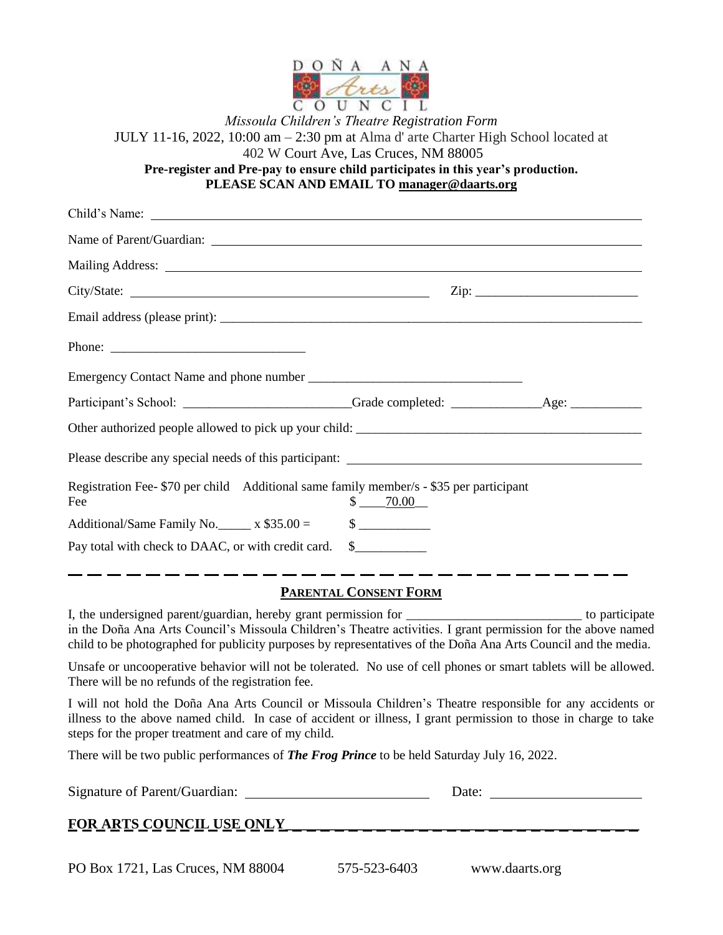

*Missoula Children's Theatre Registration Form* JULY 11-16, 2022, 10:00 am – 2:30 pm at Alma d' arte Charter High School located at 402 W Court Ave, Las Cruces, NM 88005 **Pre-register and Pre-pay to ensure child participates in this year's production. PLEASE SCAN AND EMAIL TO [manager@daarts.org](mailto:manager@daarts.org)**

|                                                                                                |                             | $\mathsf{Zip:}$ |  |
|------------------------------------------------------------------------------------------------|-----------------------------|-----------------|--|
|                                                                                                |                             |                 |  |
|                                                                                                |                             |                 |  |
|                                                                                                |                             |                 |  |
|                                                                                                |                             |                 |  |
|                                                                                                |                             |                 |  |
|                                                                                                |                             |                 |  |
| Registration Fee- \$70 per child Additional same family member/s - \$35 per participant<br>Fee | $$-.70.00$                  |                 |  |
| Additional/Same Family No. $\_\_\_$ x \$35.00 =                                                | $\frac{\text{S}}{\text{S}}$ |                 |  |
| Pay total with check to DAAC, or with credit card. \$                                          |                             |                 |  |

## **PARENTAL CONSENT FORM**

I, the undersigned parent/guardian, hereby grant permission for \_\_\_\_\_\_\_\_\_\_\_\_\_\_\_\_\_\_\_\_\_\_\_\_\_\_\_ to participate in the Doña Ana Arts Council's Missoula Children's Theatre activities. I grant permission for the above named child to be photographed for publicity purposes by representatives of the Doña Ana Arts Council and the media.

Unsafe or uncooperative behavior will not be tolerated. No use of cell phones or smart tablets will be allowed. There will be no refunds of the registration fee.

I will not hold the Doña Ana Arts Council or Missoula Children's Theatre responsible for any accidents or illness to the above named child. In case of accident or illness, I grant permission to those in charge to take steps for the proper treatment and care of my child.

There will be two public performances of *The Frog Prince* to be held Saturday July 16, 2022.

PO Box 1721, Las Cruces, NM 88004 575-523-6403 www.daarts.org

| Signature of Parent/Guardian:     | Date: |
|-----------------------------------|-------|
| <b>FOR ARTS COUNCIL USE ONLY_</b> |       |
|                                   |       |